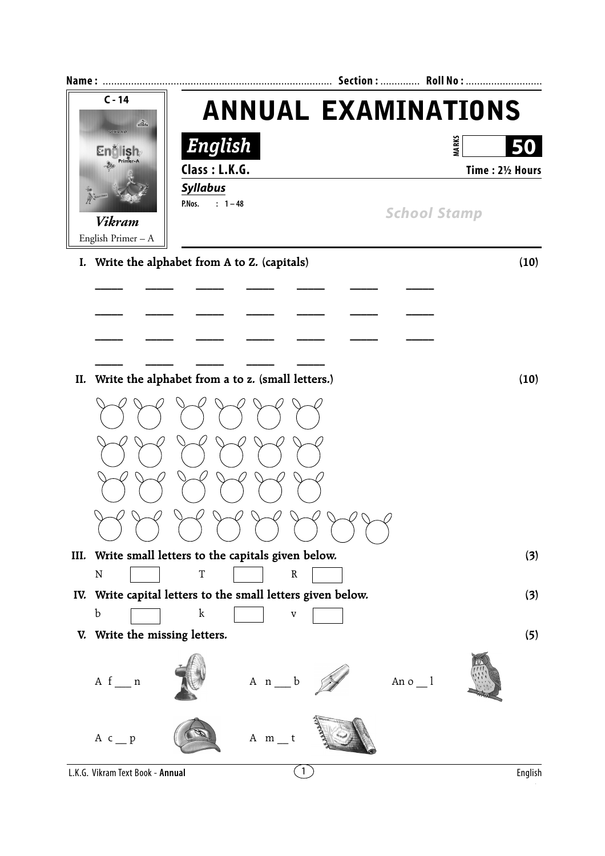| Name:                               |                                                             | Section:  Roll No : |
|-------------------------------------|-------------------------------------------------------------|---------------------|
| $C - 14$<br>24                      | <b>ANNUAL EXAMINATIONS</b>                                  |                     |
| VIKRAM<br><b>Endlish</b>            | English                                                     | <b>MARKS</b>        |
| Primer-A<br>J.                      | Class: L.K.G.                                               | Time: 21/2 Hours    |
|                                     | <b>Syllabus</b>                                             |                     |
|                                     | P.Nos.<br>$: 1 - 48$                                        | <b>School Stamp</b> |
| <b>Vikram</b><br>English Primer - A |                                                             |                     |
|                                     | I. Write the alphabet from A to Z. (capitals)               | (10)                |
|                                     |                                                             |                     |
|                                     |                                                             |                     |
|                                     |                                                             |                     |
|                                     |                                                             |                     |
| II.                                 | Write the alphabet from a to z. (small letters.)            | (10)                |
|                                     |                                                             |                     |
|                                     |                                                             |                     |
|                                     |                                                             |                     |
|                                     |                                                             |                     |
|                                     |                                                             |                     |
|                                     | III. Write small letters to the capitals given below.       | (3)                 |
| ${\bf N}$                           | $\mathbf T$<br>${\tt R}$                                    |                     |
|                                     | IV. Write capital letters to the small letters given below. | (3)                 |
| $\mathbf b$                         | $\mathbf k$<br>$\mathbf v$                                  |                     |
|                                     | V. Write the missing letters.                               | (5)                 |
| $A f_{n}$                           | $A \nightharpoonup b$                                       | An $o_1$            |
| A $c$ _ p                           | $A$ m t                                                     |                     |
| L.K.G. Vikram Text Book - Annual    | $\mathbf{1}$                                                | English             |